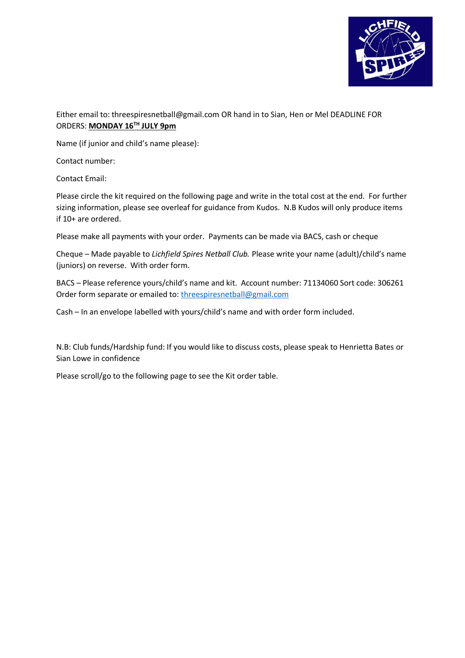

Either email to: threespiresnetball@gmail.com OR hand in to Sian, Hen or Mel DEADLINE FOR ORDERS: **MONDAY 16TH JULY 9pm**

Name (if junior and child's name please):

Contact number:

Contact Email:

Please circle the kit required on the following page and write in the total cost at the end. For further sizing information, please see overleaf for guidance from Kudos. N.B Kudos will only produce items if 10+ are ordered.

Please make all payments with your order. Payments can be made via BACS, cash or cheque

Cheque – Made payable to *Lichfield Spires Netball Club.* Please write your name (adult)/child's name (juniors) on reverse. With order form.

BACS – Please reference yours/child's name and kit. Account number: 71134060 Sort code: 306261 Order form separate or emailed to: [threespiresnetball@gmail.com](mailto:threespiresnetball@gmail.com)

Cash – In an envelope labelled with yours/child's name and with order form included.

N.B: Club funds/Hardship fund: If you would like to discuss costs, please speak to Henrietta Bates or Sian Lowe in confidence

Please scroll/go to the following page to see the Kit order table.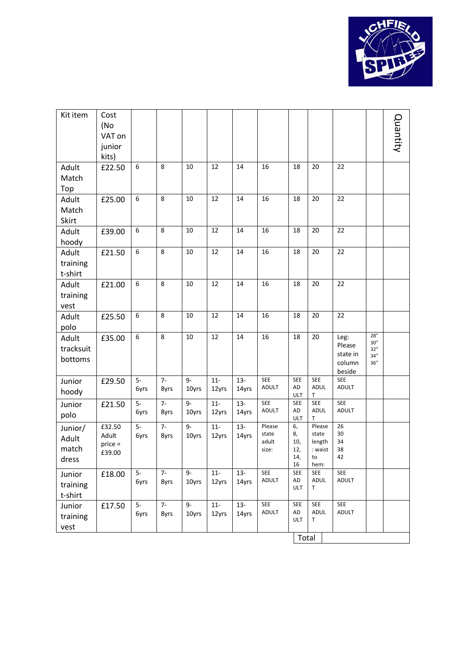

| Kit item                           | Cost<br>(No<br>VAT on<br>junior<br>kits) |              |              |               |                |                 |                                   |                                        |                                                    |                                                |                                     | Quantity |
|------------------------------------|------------------------------------------|--------------|--------------|---------------|----------------|-----------------|-----------------------------------|----------------------------------------|----------------------------------------------------|------------------------------------------------|-------------------------------------|----------|
| Adult<br>Match<br>Top              | £22.50                                   | 6            | 8            | 10            | 12             | 14              | 16                                | 18                                     | 20                                                 | 22                                             |                                     |          |
| Adult<br>Match<br>Skirt            | £25.00                                   | 6            | 8            | 10            | 12             | 14              | 16                                | 18                                     | 20                                                 | 22                                             |                                     |          |
| Adult<br>hoody                     | £39.00                                   | 6            | 8            | 10            | 12             | 14              | 16                                | 18                                     | 20                                                 | 22                                             |                                     |          |
| Adult<br>training<br>t-shirt       | £21.50                                   | 6            | 8            | 10            | 12             | 14              | 16                                | 18                                     | 20                                                 | 22                                             |                                     |          |
| Adult<br>training<br>vest          | £21.00                                   | 6            | 8            | 10            | 12             | 14              | 16                                | 18                                     | 20                                                 | 22                                             |                                     |          |
| Adult<br>polo                      | £25.50                                   | 6            | 8            | 10            | 12             | 14              | 16                                | 18                                     | 20                                                 | 22                                             |                                     |          |
| Adult<br>tracksuit<br>bottoms      | £35.00                                   | 6            | 8            | 10            | 12             | 14              | 16                                | 18                                     | 20                                                 | Leg:<br>Please<br>state in<br>column<br>beside | 28''<br>30''<br>32"<br>34''<br>36'' |          |
| Junior<br>hoody                    | £29.50                                   | $5-$<br>6yrs | $7-$<br>8yrs | $9-$<br>10yrs | $11-$<br>12yrs | $13 -$<br>14yrs | <b>SEE</b><br>ADULT               | <b>SEE</b><br>AD<br>ULT                | <b>SEE</b><br><b>ADUL</b><br>Τ                     | <b>SEE</b><br>ADULT                            |                                     |          |
| Junior<br>polo                     | £21.50                                   | $5-$<br>6yrs | $7-$<br>8yrs | 9-<br>10yrs   | $11-$<br>12yrs | $13 -$<br>14yrs | <b>SEE</b><br><b>ADULT</b>        | <b>SEE</b><br>AD<br>ULT                | <b>SEE</b><br>ADUL<br>T                            | <b>SEE</b><br><b>ADULT</b>                     |                                     |          |
| Junior/<br>Adult<br>match<br>dress | £32.50<br>Adult<br>price =<br>£39.00     | $5-$<br>6yrs | $7-$<br>8yrs | 9-<br>10yrs   | $11-$<br>12yrs | $13 -$<br>14yrs | Please<br>state<br>adult<br>size: | 6,<br>8,<br>10,<br>12,<br>14,<br>16    | Please<br>state<br>length<br>: waist<br>to<br>hem: | 26<br>30<br>34<br>38<br>42                     |                                     |          |
| Junior<br>training<br>t-shirt      | £18.00                                   | $5-$<br>6yrs | $7-$<br>8yrs | $9-$<br>10yrs | $11-$<br>12yrs | $13 -$<br>14yrs | SEE<br>ADULT                      | <b>SEE</b><br>${\sf AD}$<br><b>ULT</b> | SEE<br>ADUL<br>Τ                                   | <b>SEE</b><br><b>ADULT</b>                     |                                     |          |
| Junior<br>training<br>vest         | £17.50                                   | $5-$<br>6yrs | $7-$<br>8yrs | 9-<br>10yrs   | $11-$<br>12yrs | $13 -$<br>14yrs | <b>SEE</b><br>ADULT               | <b>SEE</b><br>AD<br><b>ULT</b>         | SEE<br>ADUL<br>Τ                                   | SEE<br>ADULT                                   |                                     |          |
|                                    | Total                                    |              |              |               |                |                 |                                   |                                        |                                                    |                                                |                                     |          |